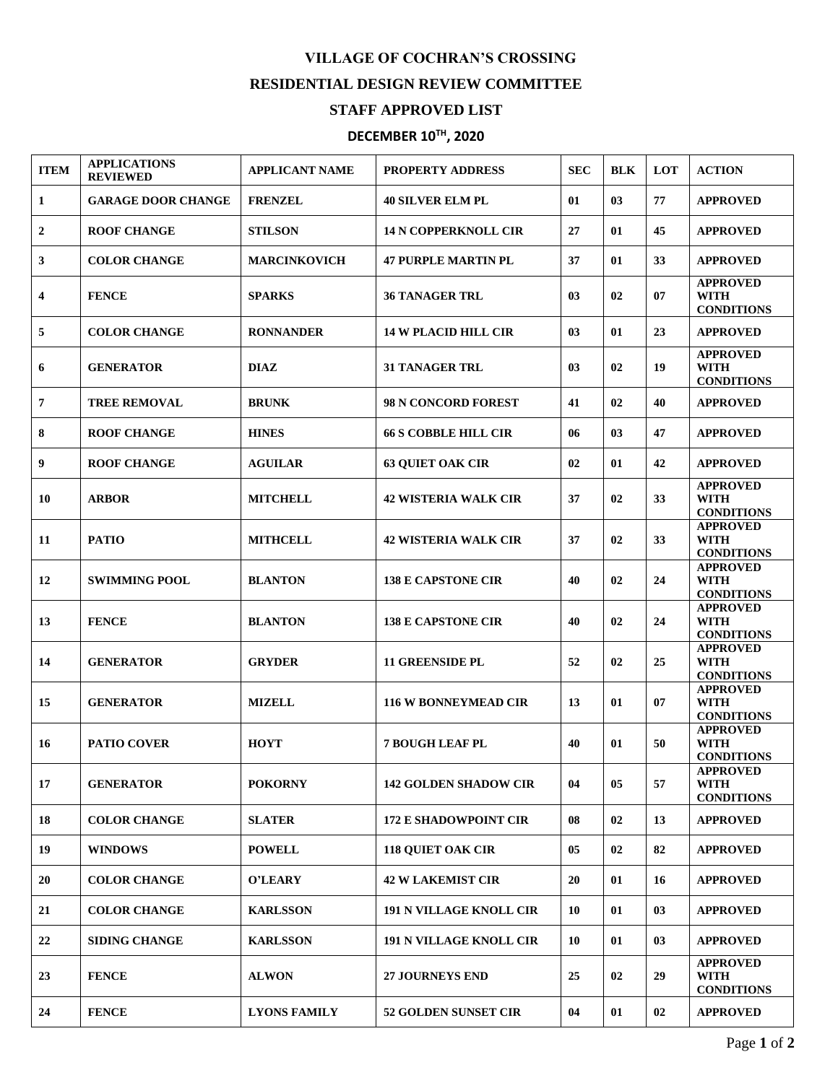## **VILLAGE OF COCHRAN'S CROSSING RESIDENTIAL DESIGN REVIEW COMMITTEE**

## **STAFF APPROVED LIST**

## **DECEMBER 10 TH , 2020**

| <b>ITEM</b> | <b>APPLICATIONS</b><br><b>REVIEWED</b> | <b>APPLICANT NAME</b> | <b>PROPERTY ADDRESS</b>        | <b>SEC</b> | BLK | <b>LOT</b> | <b>ACTION</b>                                       |
|-------------|----------------------------------------|-----------------------|--------------------------------|------------|-----|------------|-----------------------------------------------------|
| 1           | <b>GARAGE DOOR CHANGE</b>              | <b>FRENZEL</b>        | <b>40 SILVER ELM PL</b>        | 01         | 03  | 77         | <b>APPROVED</b>                                     |
| 2           | <b>ROOF CHANGE</b>                     | <b>STILSON</b>        | <b>14 N COPPERKNOLL CIR</b>    | 27         | 01  | 45         | <b>APPROVED</b>                                     |
| 3           | <b>COLOR CHANGE</b>                    | <b>MARCINKOVICH</b>   | <b>47 PURPLE MARTIN PL</b>     | 37         | 01  | 33         | <b>APPROVED</b>                                     |
| 4           | <b>FENCE</b>                           | <b>SPARKS</b>         | <b>36 TANAGER TRL</b>          | 03         | 02  | 07         | <b>APPROVED</b><br><b>WITH</b><br><b>CONDITIONS</b> |
| 5           | <b>COLOR CHANGE</b>                    | <b>RONNANDER</b>      | <b>14 W PLACID HILL CIR</b>    | 03         | 01  | 23         | <b>APPROVED</b>                                     |
| 6           | <b>GENERATOR</b>                       | <b>DIAZ</b>           | <b>31 TANAGER TRL</b>          | 03         | 02  | 19         | <b>APPROVED</b><br><b>WITH</b><br><b>CONDITIONS</b> |
| 7           | <b>TREE REMOVAL</b>                    | <b>BRUNK</b>          | <b>98 N CONCORD FOREST</b>     | 41         | 02  | 40         | <b>APPROVED</b>                                     |
| 8           | <b>ROOF CHANGE</b>                     | <b>HINES</b>          | <b>66 S COBBLE HILL CIR</b>    | 06         | 03  | 47         | <b>APPROVED</b>                                     |
| 9           | <b>ROOF CHANGE</b>                     | <b>AGUILAR</b>        | <b>63 QUIET OAK CIR</b>        | 02         | 01  | 42         | <b>APPROVED</b>                                     |
| 10          | <b>ARBOR</b>                           | <b>MITCHELL</b>       | <b>42 WISTERIA WALK CIR</b>    | 37         | 02  | 33         | <b>APPROVED</b><br><b>WITH</b><br><b>CONDITIONS</b> |
| 11          | <b>PATIO</b>                           | <b>MITHCELL</b>       | <b>42 WISTERIA WALK CIR</b>    | 37         | 02  | 33         | <b>APPROVED</b><br>WITH<br><b>CONDITIONS</b>        |
| 12          | <b>SWIMMING POOL</b>                   | <b>BLANTON</b>        | <b>138 E CAPSTONE CIR</b>      | 40         | 02  | 24         | <b>APPROVED</b><br><b>WITH</b><br><b>CONDITIONS</b> |
| 13          | <b>FENCE</b>                           | <b>BLANTON</b>        | <b>138 E CAPSTONE CIR</b>      | 40         | 02  | 24         | <b>APPROVED</b><br>WITH<br><b>CONDITIONS</b>        |
| 14          | <b>GENERATOR</b>                       | <b>GRYDER</b>         | <b>11 GREENSIDE PL</b>         | 52         | 02  | 25         | <b>APPROVED</b><br>WITH<br><b>CONDITIONS</b>        |
| 15          | <b>GENERATOR</b>                       | <b>MIZELL</b>         | <b>116 W BONNEYMEAD CIR</b>    | 13         | 01  | 07         | <b>APPROVED</b><br><b>WITH</b><br><b>CONDITIONS</b> |
| 16          | <b>PATIO COVER</b>                     | <b>HOYT</b>           | <b>7 BOUGH LEAF PL</b>         | 40         | 01  | 50         | <b>APPROVED</b><br>WITH<br><b>CONDITIONS</b>        |
| 17          | <b>GENERATOR</b>                       | <b>POKORNY</b>        | <b>142 GOLDEN SHADOW CIR</b>   | 04         | 05  | 57         | <b>APPROVED</b><br><b>WITH</b><br><b>CONDITIONS</b> |
| 18          | <b>COLOR CHANGE</b>                    | <b>SLATER</b>         | <b>172 E SHADOWPOINT CIR</b>   | 08         | 02  | 13         | <b>APPROVED</b>                                     |
| 19          | <b>WINDOWS</b>                         | <b>POWELL</b>         | <b>118 QUIET OAK CIR</b>       | 05         | 02  | 82         | <b>APPROVED</b>                                     |
| 20          | <b>COLOR CHANGE</b>                    | O'LEARY               | <b>42 W LAKEMIST CIR</b>       | 20         | 01  | 16         | <b>APPROVED</b>                                     |
| 21          | <b>COLOR CHANGE</b>                    | <b>KARLSSON</b>       | <b>191 N VILLAGE KNOLL CIR</b> | 10         | 01  | 03         | <b>APPROVED</b>                                     |
| 22          | <b>SIDING CHANGE</b>                   | <b>KARLSSON</b>       | <b>191 N VILLAGE KNOLL CIR</b> | 10         | 01  | 03         | <b>APPROVED</b>                                     |
| 23          | <b>FENCE</b>                           | <b>ALWON</b>          | <b>27 JOURNEYS END</b>         | 25         | 02  | 29         | <b>APPROVED</b><br><b>WITH</b><br><b>CONDITIONS</b> |
| 24          | <b>FENCE</b>                           | <b>LYONS FAMILY</b>   | <b>52 GOLDEN SUNSET CIR</b>    | 04         | 01  | 02         | <b>APPROVED</b>                                     |